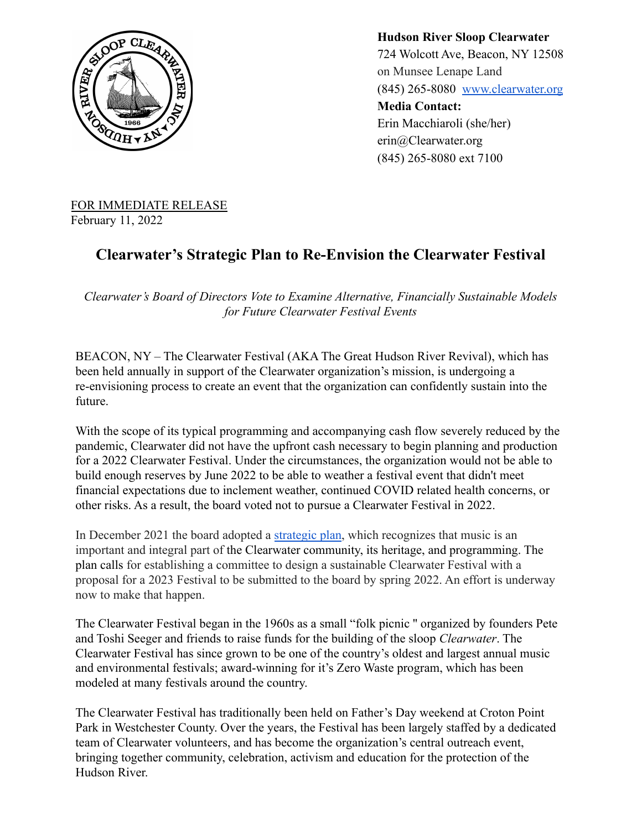

**Hudson River Sloop Clearwater** 724 Wolcott Ave, Beacon, NY 12508 on Munsee Lenape Land (845) 265-8080 [www.clearwater.org](http://www.clearwater.org) **Media Contact:** Erin Macchiaroli (she/her) erin@Clearwater.org (845) 265-8080 ext 7100

FOR IMMEDIATE RELEASE February 11, 2022

## **Clearwater's Strategic Plan to Re-Envision the Clearwater Festival**

*Clearwater's Board of Directors Vote to Examine Alternative, Financially Sustainable Models for Future Clearwater Festival Events*

BEACON, NY – The Clearwater Festival (AKA The Great Hudson River Revival), which has been held annually in support of the Clearwater organization's mission, is undergoing a re-envisioning process to create an event that the organization can confidently sustain into the future.

With the scope of its typical programming and accompanying cash flow severely reduced by the pandemic, Clearwater did not have the upfront cash necessary to begin planning and production for a 2022 Clearwater Festival. Under the circumstances, the organization would not be able to build enough reserves by June 2022 to be able to weather a festival event that didn't meet financial expectations due to inclement weather, continued COVID related health concerns, or other risks. As a result, the board voted not to pursue a Clearwater Festival in 2022.

In December 2021 the board adopted a [strategic plan,](https://www.clearwater.org/wp-content/uploads/2021/12/Strategic-plan-final-120821.pdf) which recognizes that music is an important and integral part of the Clearwater community, its heritage, and programming. The plan calls for establishing a committee to design a sustainable Clearwater Festival with a proposal for a 2023 Festival to be submitted to the board by spring 2022. An effort is underway now to make that happen.

The Clearwater Festival began in the 1960s as a small "folk picnic '' organized by founders Pete and Toshi Seeger and friends to raise funds for the building of the sloop *Clearwater*. The Clearwater Festival has since grown to be one of the country's oldest and largest annual music and environmental festivals; award-winning for it's Zero Waste program, which has been modeled at many festivals around the country.

The Clearwater Festival has traditionally been held on Father's Day weekend at Croton Point Park in Westchester County. Over the years, the Festival has been largely staffed by a dedicated team of Clearwater volunteers, and has become the organization's central outreach event, bringing together community, celebration, activism and education for the protection of the Hudson River.